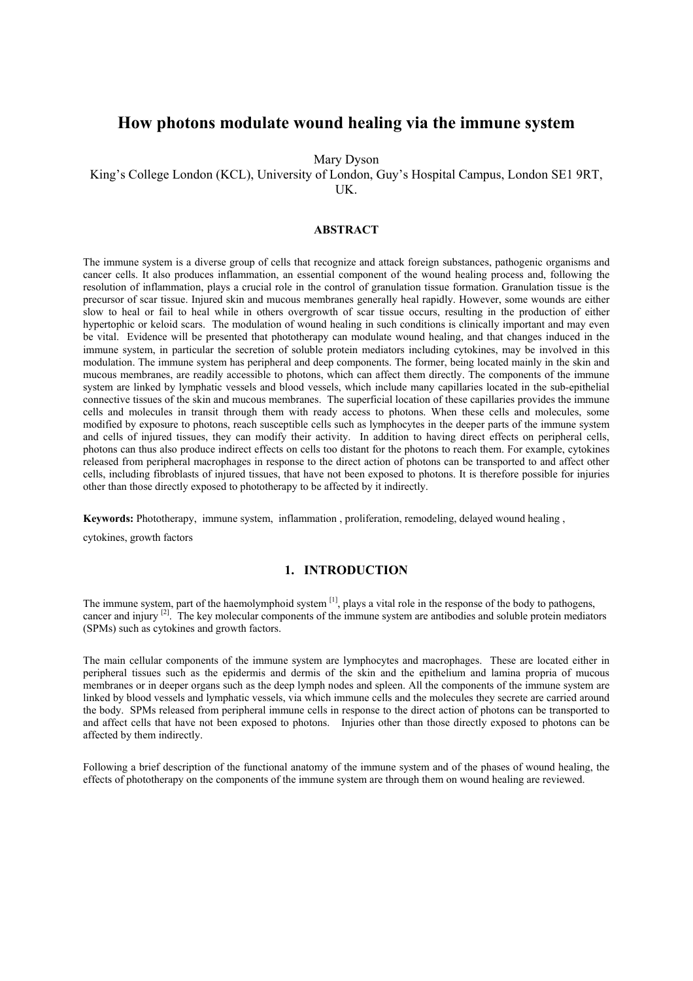# **How photons modulate wound healing via the immune system**

Mary Dyson

King's College London (KCL), University of London, Guy's Hospital Campus, London SE1 9RT, UK.

## **ABSTRACT**

The immune system is a diverse group of cells that recognize and attack foreign substances, pathogenic organisms and cancer cells. It also produces inflammation, an essential component of the wound healing process and, following the resolution of inflammation, plays a crucial role in the control of granulation tissue formation. Granulation tissue is the precursor of scar tissue. Injured skin and mucous membranes generally heal rapidly. However, some wounds are either slow to heal or fail to heal while in others overgrowth of scar tissue occurs, resulting in the production of either hypertophic or keloid scars. The modulation of wound healing in such conditions is clinically important and may even be vital. Evidence will be presented that phototherapy can modulate wound healing, and that changes induced in the immune system, in particular the secretion of soluble protein mediators including cytokines, may be involved in this modulation. The immune system has peripheral and deep components. The former, being located mainly in the skin and mucous membranes, are readily accessible to photons, which can affect them directly. The components of the immune system are linked by lymphatic vessels and blood vessels, which include many capillaries located in the sub-epithelial connective tissues of the skin and mucous membranes. The superficial location of these capillaries provides the immune cells and molecules in transit through them with ready access to photons. When these cells and molecules, some modified by exposure to photons, reach susceptible cells such as lymphocytes in the deeper parts of the immune system and cells of injured tissues, they can modify their activity. In addition to having direct effects on peripheral cells, photons can thus also produce indirect effects on cells too distant for the photons to reach them. For example, cytokines released from peripheral macrophages in response to the direct action of photons can be transported to and affect other cells, including fibroblasts of injured tissues, that have not been exposed to photons. It is therefore possible for injuries other than those directly exposed to phototherapy to be affected by it indirectly.

**Keywords:** Phototherapy, immune system, inflammation, proliferation, remodeling, delayed wound healing, cytokines, growth factors

# **1. INTRODUCTION**

The immune system, part of the haemolymphoid system [1], plays a vital role in the response of the body to pathogens, cancer and injury <sup>[2]</sup>. The key molecular components of the immune system are antibodies and soluble protein mediators (SPMs) such as cytokines and growth factors.

The main cellular components of the immune system are lymphocytes and macrophages. These are located either in peripheral tissues such as the epidermis and dermis of the skin and the epithelium and lamina propria of mucous membranes or in deeper organs such as the deep lymph nodes and spleen. All the components of the immune system are linked by blood vessels and lymphatic vessels, via which immune cells and the molecules they secrete are carried around the body. SPMs released from peripheral immune cells in response to the direct action of photons can be transported to and affect cells that have not been exposed to photons. Injuries other than those directly exposed to photons can be affected by them indirectly.

Following a brief description of the functional anatomy of the immune system and of the phases of wound healing, the effects of phototherapy on the components of the immune system are through them on wound healing are reviewed.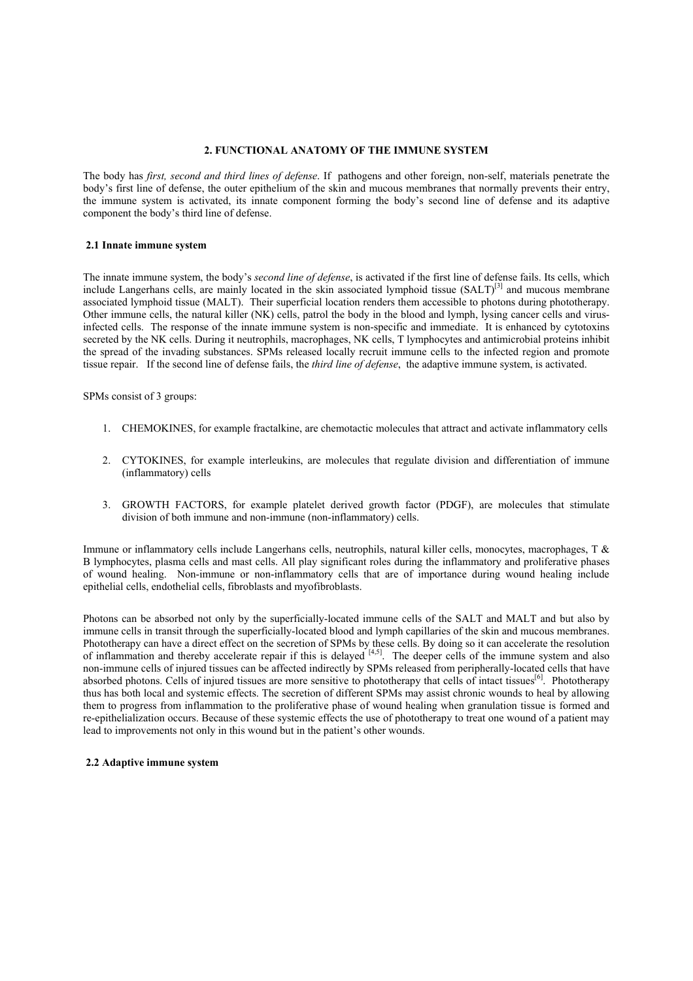## **2. FUNCTIONAL ANATOMY OF THE IMMUNE SYSTEM**

The body has *first, second and third lines of defense*. If pathogens and other foreign, non-self, materials penetrate the body's first line of defense, the outer epithelium of the skin and mucous membranes that normally prevents their entry, the immune system is activated, its innate component forming the body's second line of defense and its adaptive component the body's third line of defense.

## **2.1 Innate immune system**

The innate immune system, the body's *second line of defense*, is activated if the first line of defense fails. Its cells, which include Langerhans cells, are mainly located in the skin associated lymphoid tissue (SALT)<sup>[3]</sup> and mucous membrane associated lymphoid tissue (MALT). Their superficial location renders them accessible to photons during phototherapy. Other immune cells, the natural killer (NK) cells, patrol the body in the blood and lymph, lysing cancer cells and virusinfected cells. The response of the innate immune system is non-specific and immediate. It is enhanced by cytotoxins secreted by the NK cells. During it neutrophils, macrophages, NK cells, T lymphocytes and antimicrobial proteins inhibit the spread of the invading substances. SPMs released locally recruit immune cells to the infected region and promote tissue repair. If the second line of defense fails, the *third line of defense*, the adaptive immune system, is activated.

SPMs consist of 3 groups:

- 1. CHEMOKINES, for example fractalkine, are chemotactic molecules that attract and activate inflammatory cells
- 2. CYTOKINES, for example interleukins, are molecules that regulate division and differentiation of immune (inflammatory) cells
- 3. GROWTH FACTORS, for example platelet derived growth factor (PDGF), are molecules that stimulate division of both immune and non-immune (non-inflammatory) cells.

Immune or inflammatory cells include Langerhans cells, neutrophils, natural killer cells, monocytes, macrophages, T & B lymphocytes, plasma cells and mast cells. All play significant roles during the inflammatory and proliferative phases of wound healing. Non-immune or non-inflammatory cells that are of importance during wound healing include epithelial cells, endothelial cells, fibroblasts and myofibroblasts.

Photons can be absorbed not only by the superficially-located immune cells of the SALT and MALT and but also by immune cells in transit through the superficially-located blood and lymph capillaries of the skin and mucous membranes. Phototherapy can have a direct effect on the secretion of SPMs by these cells. By doing so it can accelerate the resolution of inflammation and thereby accelerate repair if this is delayed  $[4,5]$ . The deeper cells of the immune system and also non-immune cells of injured tissues can be affected indirectly by SPMs released from peripherally-located cells that have absorbed photons. Cells of injured tissues are more sensitive to phototherapy that cells of intact tissues<sup>[6]</sup>. Phototherapy thus has both local and systemic effects. The secretion of different SPMs may assist chronic wounds to heal by allowing them to progress from inflammation to the proliferative phase of wound healing when granulation tissue is formed and re-epithelialization occurs. Because of these systemic effects the use of phototherapy to treat one wound of a patient may lead to improvements not only in this wound but in the patient's other wounds.

#### **2.2 Adaptive immune system**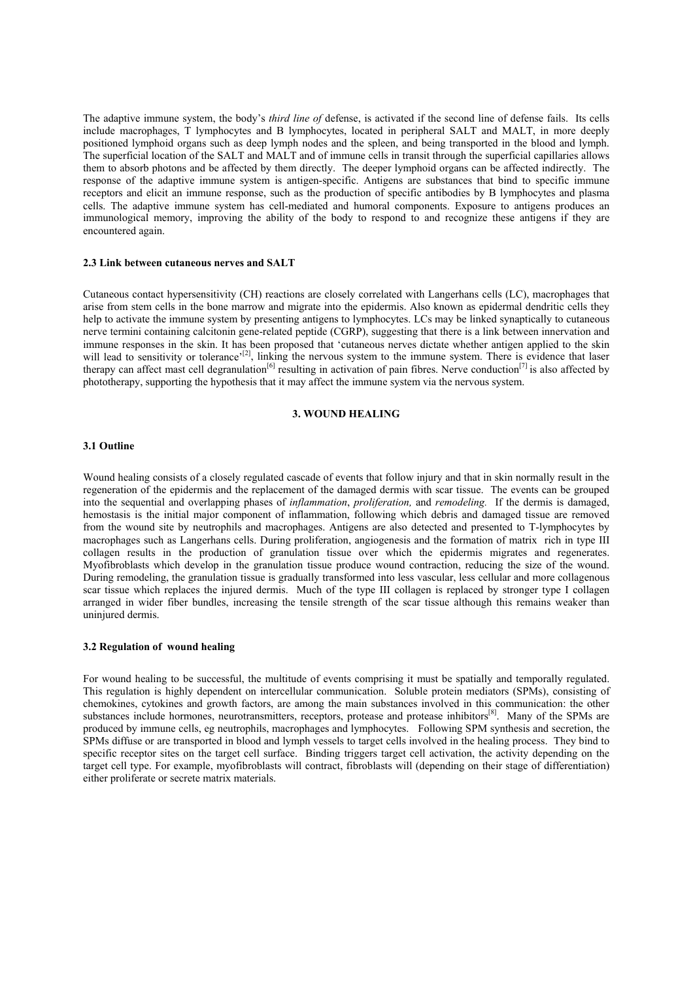The adaptive immune system, the body's *third line of* defense, is activated if the second line of defense fails. Its cells include macrophages, T lymphocytes and B lymphocytes, located in peripheral SALT and MALT, in more deeply positioned lymphoid organs such as deep lymph nodes and the spleen, and being transported in the blood and lymph. The superficial location of the SALT and MALT and of immune cells in transit through the superficial capillaries allows them to absorb photons and be affected by them directly. The deeper lymphoid organs can be affected indirectly. The response of the adaptive immune system is antigen-specific. Antigens are substances that bind to specific immune receptors and elicit an immune response, such as the production of specific antibodies by B lymphocytes and plasma cells. The adaptive immune system has cell-mediated and humoral components. Exposure to antigens produces an immunological memory, improving the ability of the body to respond to and recognize these antigens if they are encountered again.

## **2.3 Link between cutaneous nerves and SALT**

Cutaneous contact hypersensitivity (CH) reactions are closely correlated with Langerhans cells (LC), macrophages that arise from stem cells in the bone marrow and migrate into the epidermis. Also known as epidermal dendritic cells they help to activate the immune system by presenting antigens to lymphocytes. LCs may be linked synaptically to cutaneous nerve termini containing calcitonin gene-related peptide (CGRP), suggesting that there is a link between innervation and immune responses in the skin. It has been proposed that 'cutaneous nerves dictate whether antigen applied to the skin will lead to sensitivity or tolerance'<sup>[2]</sup>, linking the nervous system to the immune system. There is evidence that laser therapy can affect mast cell degranulation<sup>[6]</sup> resulting in activation of pain fibres. Nerve conduction<sup>[7]</sup> is also affected by phototherapy, supporting the hypothesis that it may affect the immune system via the nervous system.

## **3. WOUND HEALING**

#### **3.1 Outline**

Wound healing consists of a closely regulated cascade of events that follow injury and that in skin normally result in the regeneration of the epidermis and the replacement of the damaged dermis with scar tissue. The events can be grouped into the sequential and overlapping phases of *inflammation*, *proliferation,* and *remodeling.* If the dermis is damaged, hemostasis is the initial major component of inflammation, following which debris and damaged tissue are removed from the wound site by neutrophils and macrophages. Antigens are also detected and presented to T-lymphocytes by macrophages such as Langerhans cells. During proliferation, angiogenesis and the formation of matrix rich in type III collagen results in the production of granulation tissue over which the epidermis migrates and regenerates. Myofibroblasts which develop in the granulation tissue produce wound contraction, reducing the size of the wound. During remodeling, the granulation tissue is gradually transformed into less vascular, less cellular and more collagenous scar tissue which replaces the injured dermis. Much of the type III collagen is replaced by stronger type I collagen arranged in wider fiber bundles, increasing the tensile strength of the scar tissue although this remains weaker than uninjured dermis.

#### **3.2 Regulation of wound healing**

For wound healing to be successful, the multitude of events comprising it must be spatially and temporally regulated. This regulation is highly dependent on intercellular communication. Soluble protein mediators (SPMs), consisting of chemokines, cytokines and growth factors, are among the main substances involved in this communication: the other substances include hormones, neurotransmitters, receptors, protease and protease inhibitors<sup>[8]</sup>. Many of the SPMs are produced by immune cells, eg neutrophils, macrophages and lymphocytes. Following SPM synthesis and secretion, the SPMs diffuse or are transported in blood and lymph vessels to target cells involved in the healing process. They bind to specific receptor sites on the target cell surface. Binding triggers target cell activation, the activity depending on the target cell type. For example, myofibroblasts will contract, fibroblasts will (depending on their stage of differentiation) either proliferate or secrete matrix materials.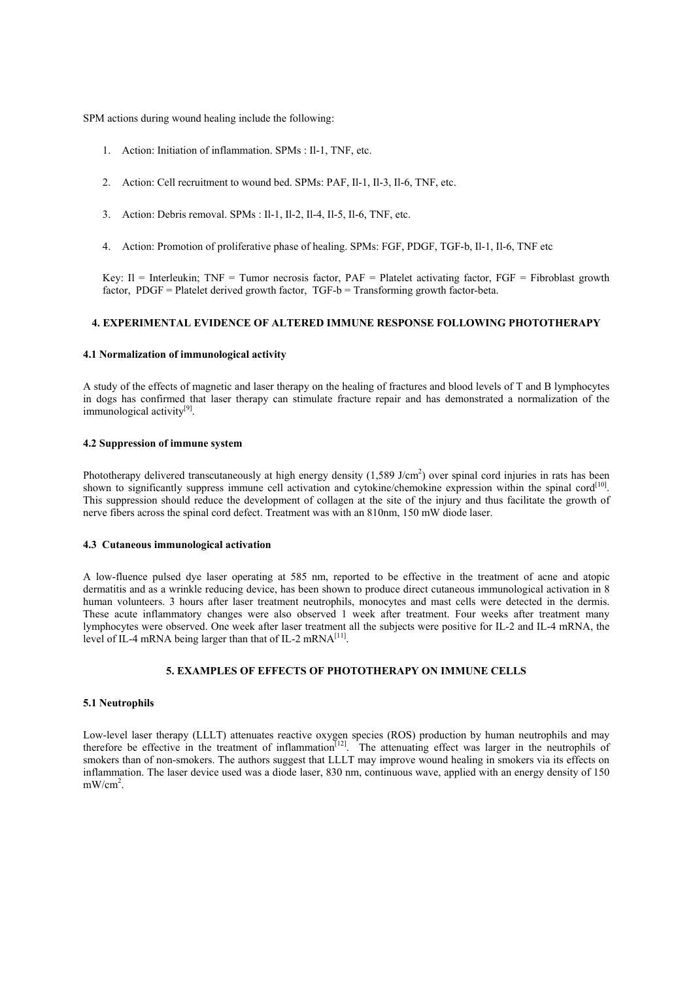SPM actions during wound healing include the following:

- 1. Action: Initiation of inflammation. SPMs : Il-1, TNF, etc.
- 2. Action: Cell recruitment to wound bed. SPMs: PAF, Il-1, Il-3, Il-6, TNF, etc.
- 3. Action: Debris removal. SPMs : Il-1, Il-2, Il-4, Il-5, Il-6, TNF, etc.
- 4. Action: Promotion of proliferative phase of healing. SPMs: FGF, PDGF, TGF-b, Il-1, Il-6, TNF etc

Key: Il = Interleukin; TNF = Tumor necrosis factor,  $PAF =$  Platelet activating factor,  $FGF =$  Fibroblast growth factor, PDGF = Platelet derived growth factor, TGF-b = Transforming growth factor-beta.

## **4. EXPERIMENTAL EVIDENCE OF ALTERED IMMUNE RESPONSE FOLLOWING PHOTOTHERAPY**

#### **4.1 Normalization of immunological activity**

A study of the effects of magnetic and laser therapy on the healing of fractures and blood levels of T and B lymphocytes in dogs has confirmed that laser therapy can stimulate fracture repair and has demonstrated a normalization of the immunological activity<sup>[9]</sup>.

## **4.2 Suppression of immune system**

Phototherapy delivered transcutaneously at high energy density  $(1,589 \text{ J/cm}^2)$  over spinal cord injuries in rats has been shown to significantly suppress immune cell activation and cytokine/chemokine expression within the spinal cord<sup>[10]</sup>. This suppression should reduce the development of collagen at the site of the injury and thus facilitate the growth of nerve fibers across the spinal cord defect. Treatment was with an 810nm, 150 mW diode laser.

#### **4.3 Cutaneous immunological activation**

A low-fluence pulsed dye laser operating at 585 nm, reported to be effective in the treatment of acne and atopic dermatitis and as a wrinkle reducing device, has been shown to produce direct cutaneous immunological activation in 8 human volunteers. 3 hours after laser treatment neutrophils, monocytes and mast cells were detected in the dermis. These acute inflammatory changes were also observed 1 week after treatment. Four weeks after treatment many lymphocytes were observed. One week after laser treatment all the subjects were positive for IL-2 and IL-4 mRNA, the level of IL-4 mRNA being larger than that of IL-2 mRNA $^{[11]}$ .

## **5. EXAMPLES OF EFFECTS OF PHOTOTHERAPY ON IMMUNE CELLS**

#### **5.1 Neutrophils**

Low-level laser therapy (LLLT) attenuates reactive oxygen species (ROS) production by human neutrophils and may therefore be effective in the treatment of inflammation $[12]$ . The attenuating effect was larger in the neutrophils of smokers than of non-smokers. The authors suggest that LLLT may improve wound healing in smokers via its effects on inflammation. The laser device used was a diode laser, 830 nm, continuous wave, applied with an energy density of 150  $mW/cm<sup>2</sup>$ .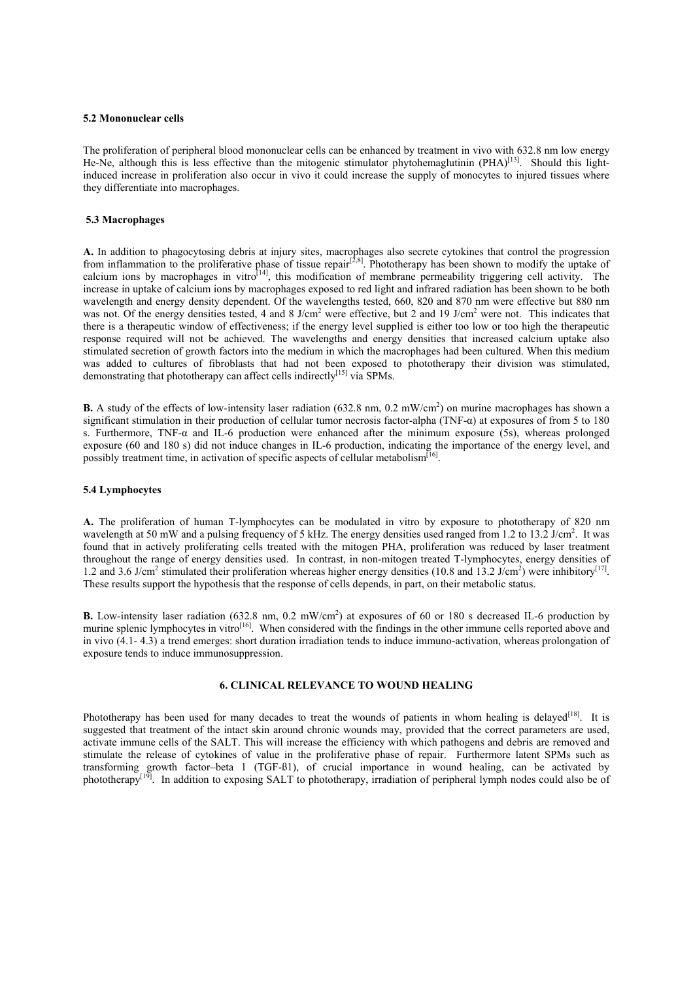#### **5.2 Mononuclear cells**

The proliferation of peripheral blood mononuclear cells can be enhanced by treatment in vivo with 632.8 nm low energy He-Ne, although this is less effective than the mitogenic stimulator phytohemaglutinin  $(PHA)^{[13]}$ . Should this lightinduced increase in proliferation also occur in vivo it could increase the supply of monocytes to injured tissues where they differentiate into macrophages.

#### **5.3 Macrophages**

**A.** In addition to phagocytosing debris at injury sites, macrophages also secrete cytokines that control the progression from inflammation to the proliferative phase of tissue repair<sup>[2,8]</sup>. Phototherapy has been shown to modify the uptake of calcium ions by macrophages in vitro $[14]$ , this modification of membrane permeability triggering cell activity. The increase in uptake of calcium ions by macrophages exposed to red light and infrared radiation has been shown to be both wavelength and energy density dependent. Of the wavelengths tested, 660, 820 and 870 nm were effective but 880 nm was not. Of the energy densities tested, 4 and 8 J/cm<sup>2</sup> were effective, but 2 and 19 J/cm<sup>2</sup> were not. This indicates that there is a therapeutic window of effectiveness; if the energy level supplied is either too low or too high the therapeutic response required will not be achieved. The wavelengths and energy densities that increased calcium uptake also stimulated secretion of growth factors into the medium in which the macrophages had been cultured. When this medium was added to cultures of fibroblasts that had not been exposed to phototherapy their division was stimulated, demonstrating that phototherapy can affect cells indirectly<sup>[15]</sup> via SPMs.

**B.** A study of the effects of low-intensity laser radiation (632.8 nm, 0.2 mW/cm<sup>2</sup>) on murine macrophages has shown a significant stimulation in their production of cellular tumor necrosis factor-alpha (TNF- $\alpha$ ) at exposures of from 5 to 180 s. Furthermore, TNF- $\alpha$  and IL-6 production were enhanced after the minimum exposure (5s), whereas prolonged exposure (60 and 180 s) did not induce changes in IL-6 production, indicating the importance of the energy level, and possibly treatment time, in activation of specific aspects of cellular metabolism<sup>[1</sup>]

#### **5.4 Lymphocytes**

**A.** The proliferation of human T-lymphocytes can be modulated in vitro by exposure to phototherapy of 820 nm wavelength at 50 mW and a pulsing frequency of 5 kHz. The energy densities used ranged from 1.2 to 13.2 J/cm<sup>2</sup>. It was found that in actively proliferating cells treated with the mitogen PHA, proliferation was reduced by laser treatment throughout the range of energy densities used. In contrast, in non-mitogen treated T-lymphocytes, energy densities of 1.2 and 3.6 J/cm<sup>2</sup> stimulated their proliferation whereas higher energy densities (10.8 and 13.2 J/cm<sup>2</sup>) were inhibitory<sup>[17]</sup>. These results support the hypothesis that the response of cells depends, in part, on their metabolic status.

**B.** Low-intensity laser radiation (632.8 nm, 0.2 mW/cm<sup>2</sup>) at exposures of 60 or 180 s decreased IL-6 production by murine splenic lymphocytes in vitro<sup>[16]</sup>. When considered with the findings in the other immune cells reported above and in vivo (4.1- 4.3) a trend emerges: short duration irradiation tends to induce immuno-activation, whereas prolongation of exposure tends to induce immunosuppression.

## **6. CLINICAL RELEVANCE TO WOUND HEALING**

Phototherapy has been used for many decades to treat the wounds of patients in whom healing is delayed<sup>[18]</sup>. It is suggested that treatment of the intact skin around chronic wounds may, provided that the correct parameters are used, activate immune cells of the SALT. This will increase the efficiency with which pathogens and debris are removed and stimulate the release of cytokines of value in the proliferative phase of repair. Furthermore latent SPMs such as transforming growth factor–beta 1 (TGF-B1), of crucial importance in wound healing, can be activated by phototherapy<sup>[19]</sup>. In addition to exposing SALT to phototherapy, irradiation of peripheral lymph nodes could also be of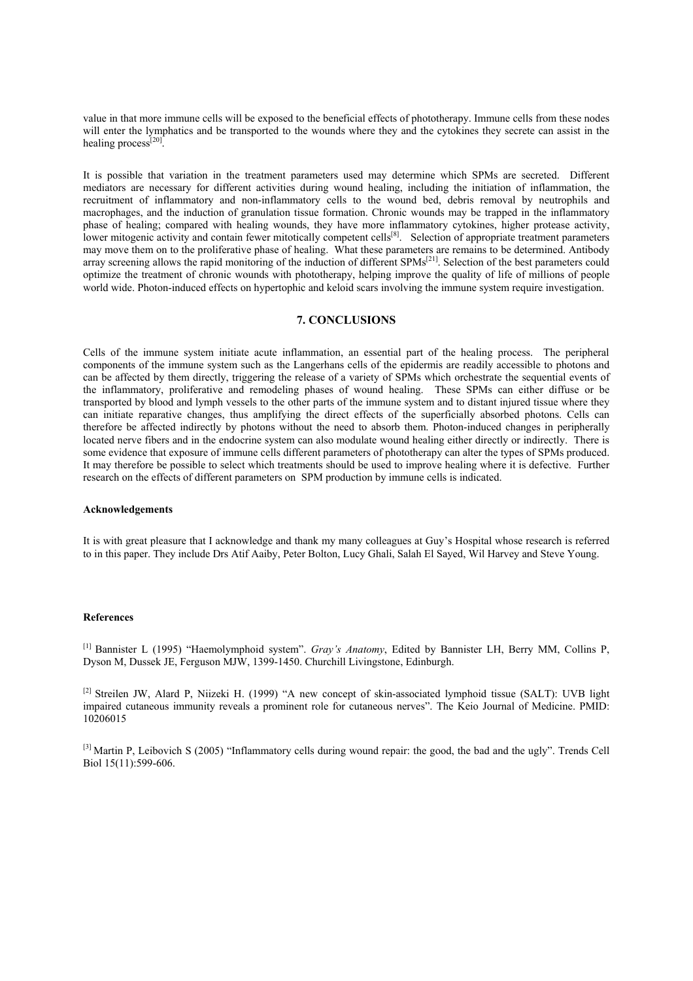value in that more immune cells will be exposed to the beneficial effects of phototherapy. Immune cells from these nodes will enter the lymphatics and be transported to the wounds where they and the cytokines they secrete can assist in the healing process<sup>[20]</sup>.

It is possible that variation in the treatment parameters used may determine which SPMs are secreted. Different mediators are necessary for different activities during wound healing, including the initiation of inflammation, the recruitment of inflammatory and non-inflammatory cells to the wound bed, debris removal by neutrophils and macrophages, and the induction of granulation tissue formation. Chronic wounds may be trapped in the inflammatory phase of healing; compared with healing wounds, they have more inflammatory cytokines, higher protease activity, lower mitogenic activity and contain fewer mitotically competent cells<sup>[8]</sup>. Selection of appropriate treatment parameters may move them on to the proliferative phase of healing. What these parameters are remains to be determined. Antibody array screening allows the rapid monitoring of the induction of different SPMs<sup>[21]</sup>. Selection of the best parameters could optimize the treatment of chronic wounds with phototherapy, helping improve the quality of life of millions of people world wide. Photon-induced effects on hypertophic and keloid scars involving the immune system require investigation.

## **7. CONCLUSIONS**

Cells of the immune system initiate acute inflammation, an essential part of the healing process. The peripheral components of the immune system such as the Langerhans cells of the epidermis are readily accessible to photons and can be affected by them directly, triggering the release of a variety of SPMs which orchestrate the sequential events of the inflammatory, proliferative and remodeling phases of wound healing. These SPMs can either diffuse or be transported by blood and lymph vessels to the other parts of the immune system and to distant injured tissue where they can initiate reparative changes, thus amplifying the direct effects of the superficially absorbed photons. Cells can therefore be affected indirectly by photons without the need to absorb them. Photon-induced changes in peripherally located nerve fibers and in the endocrine system can also modulate wound healing either directly or indirectly. There is some evidence that exposure of immune cells different parameters of phototherapy can alter the types of SPMs produced. It may therefore be possible to select which treatments should be used to improve healing where it is defective. Further research on the effects of different parameters on SPM production by immune cells is indicated.

#### **Acknowledgements**

It is with great pleasure that I acknowledge and thank my many colleagues at Guy's Hospital whose research is referred to in this paper. They include Drs Atif Aaiby, Peter Bolton, Lucy Ghali, Salah El Sayed, Wil Harvey and Steve Young.

#### **References**

[1] Bannister L (1995) "Haemolymphoid system". *Gray's Anatomy*, Edited by Bannister LH, Berry MM, Collins P, Dyson M, Dussek JE, Ferguson MJW, 1399-1450. Churchill Livingstone, Edinburgh.

<sup>[2]</sup> Streilen JW, Alard P, Niizeki H. (1999) "A new concept of skin-associated lymphoid tissue (SALT): UVB light impaired cutaneous immunity reveals a prominent role for cutaneous nerves". The Keio Journal of Medicine. PMID: 10206015

[3] Martin P, Leibovich S (2005) "Inflammatory cells during wound repair: the good, the bad and the ugly". Trends Cell Biol 15(11):599-606.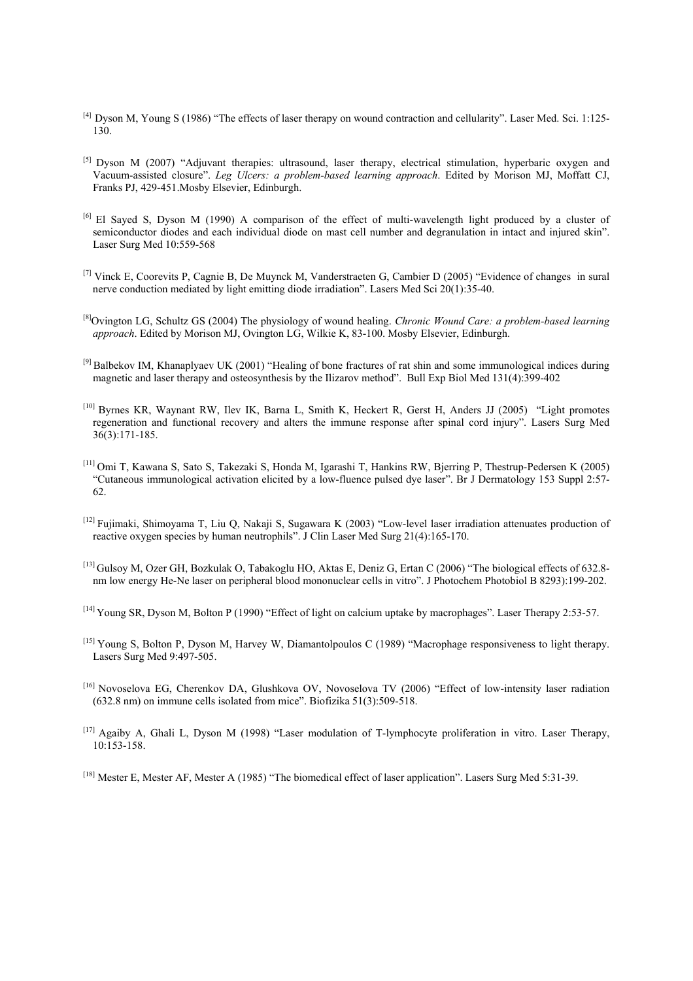- [4] Dyson M, Young S (1986) "The effects of laser therapy on wound contraction and cellularity". Laser Med. Sci. 1:125- 130.
- [5] Dyson M (2007) "Adjuvant therapies: ultrasound, laser therapy, electrical stimulation, hyperbaric oxygen and Vacuum-assisted closure". *Leg Ulcers: a problem-based learning approach*. Edited by Morison MJ, Moffatt CJ, Franks PJ, 429-451.Mosby Elsevier, Edinburgh.
- [6] El Sayed S, Dyson M (1990) A comparison of the effect of multi-wavelength light produced by a cluster of semiconductor diodes and each individual diode on mast cell number and degranulation in intact and injured skin". Laser Surg Med 10:559-568
- [7] Vinck E, Coorevits P, Cagnie B, De Muynck M, Vanderstraeten G, Cambier D (2005) "Evidence of changes in sural nerve conduction mediated by light emitting diode irradiation". Lasers Med Sci 20(1):35-40.
- [8]Ovington LG, Schultz GS (2004) The physiology of wound healing. *Chronic Wound Care: a problem-based learning approach*. Edited by Morison MJ, Ovington LG, Wilkie K, 83-100. Mosby Elsevier, Edinburgh.
- $^{[9]}$  Balbekov IM, Khanaplyaev UK (2001) "Healing of bone fractures of rat shin and some immunological indices during magnetic and laser therapy and osteosynthesis by the Ilizarov method". Bull Exp Biol Med 131(4):399-402
- [10] Byrnes KR, Waynant RW, Ilev IK, Barna L, Smith K, Heckert R, Gerst H, Anders JJ (2005) "Light promotes regeneration and functional recovery and alters the immune response after spinal cord injury". Lasers Surg Med 36(3):171-185.
- [11] Omi T, Kawana S, Sato S, Takezaki S, Honda M, Igarashi T, Hankins RW, Bjerring P, Thestrup-Pedersen K (2005) "Cutaneous immunological activation elicited by a low-fluence pulsed dye laser". Br J Dermatology 153 Suppl 2:57- 62.
- [12] Fujimaki, Shimoyama T, Liu Q, Nakaji S, Sugawara K (2003) "Low-level laser irradiation attenuates production of reactive oxygen species by human neutrophils". J Clin Laser Med Surg 21(4):165-170.
- [13] Gulsoy M, Ozer GH, Bozkulak O, Tabakoglu HO, Aktas E, Deniz G, Ertan C (2006) "The biological effects of 632.8 nm low energy He-Ne laser on peripheral blood mononuclear cells in vitro". J Photochem Photobiol B 8293):199-202.
- [14] Young SR, Dyson M, Bolton P (1990) "Effect of light on calcium uptake by macrophages". Laser Therapy 2:53-57.
- [15] Young S, Bolton P, Dyson M, Harvey W, Diamantolpoulos C (1989) "Macrophage responsiveness to light therapy. Lasers Surg Med 9:497-505.
- [16] Novoselova EG, Cherenkov DA, Glushkova OV, Novoselova TV (2006) "Effect of low-intensity laser radiation (632.8 nm) on immune cells isolated from mice". Biofizika 51(3):509-518.
- [17] Agaiby A, Ghali L, Dyson M (1998) "Laser modulation of T-lymphocyte proliferation in vitro. Laser Therapy, 10:153-158.
- [18] Mester E, Mester AF, Mester A (1985) "The biomedical effect of laser application". Lasers Surg Med 5:31-39.